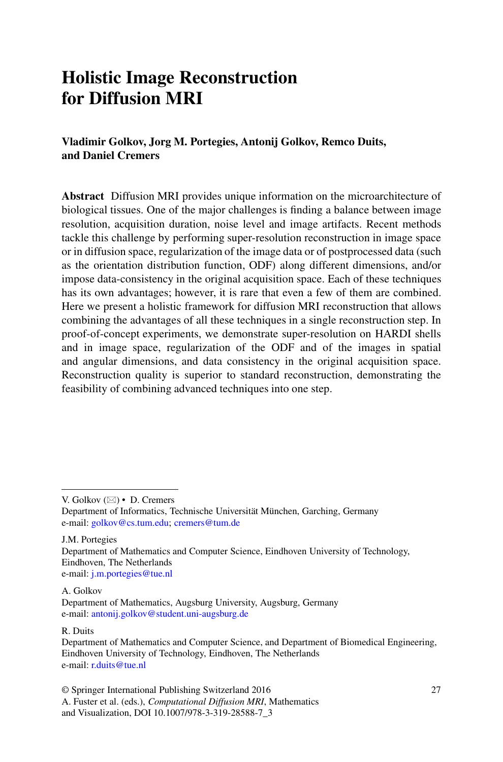# **Holistic Image Reconstruction for Diffusion MRI**

**Vladimir Golkov, Jorg M. Portegies, Antonij Golkov, Remco Duits, and Daniel Cremers**

**Abstract** Diffusion MRI provides unique information on the microarchitecture of biological tissues. One of the major challenges is finding a balance between image resolution, acquisition duration, noise level and image artifacts. Recent methods tackle this challenge by performing super-resolution reconstruction in image space or in diffusion space, regularization of the image data or of postprocessed data (such as the orientation distribution function, ODF) along different dimensions, and/or impose data-consistency in the original acquisition space. Each of these techniques has its own advantages; however, it is rare that even a few of them are combined. Here we present a holistic framework for diffusion MRI reconstruction that allows combining the advantages of all these techniques in a single reconstruction step. In proof-of-concept experiments, we demonstrate super-resolution on HARDI shells and in image space, regularization of the ODF and of the images in spatial and angular dimensions, and data consistency in the original acquisition space. Reconstruction quality is superior to standard reconstruction, demonstrating the feasibility of combining advanced techniques into one step.

J.M. Portegies

Department of Mathematics and Computer Science, Eindhoven University of Technology, Eindhoven, The Netherlands e-mail: [j.m.portegies@tue.nl](mailto:j.m.portegies@tue.nl)

#### A. Golkov

R. Duits

V. Golkov  $(\boxtimes)$  • D. Cremers

Department of Informatics, Technische Universität München, Garching, Germany e-mail: [golkov@cs.tum.edu;](mailto:golkov@cs.tum.edu) [cremers@tum.de](mailto:cremers@tum.de)

Department of Mathematics, Augsburg University, Augsburg, Germany e-mail: [antonij.golkov@student.uni-augsburg.de](mailto:antonij.golkov@student.uni-augsburg.de)

Department of Mathematics and Computer Science, and Department of Biomedical Engineering, Eindhoven University of Technology, Eindhoven, The Netherlands e-mail: [r.duits@tue.nl](mailto:r.duits@tue.nl)

<sup>©</sup> Springer International Publishing Switzerland 2016 A. Fuster et al. (eds.), *Computational Diffusion MRI*, Mathematics and Visualization, DOI 10.1007/978-3-319-28588-7\_3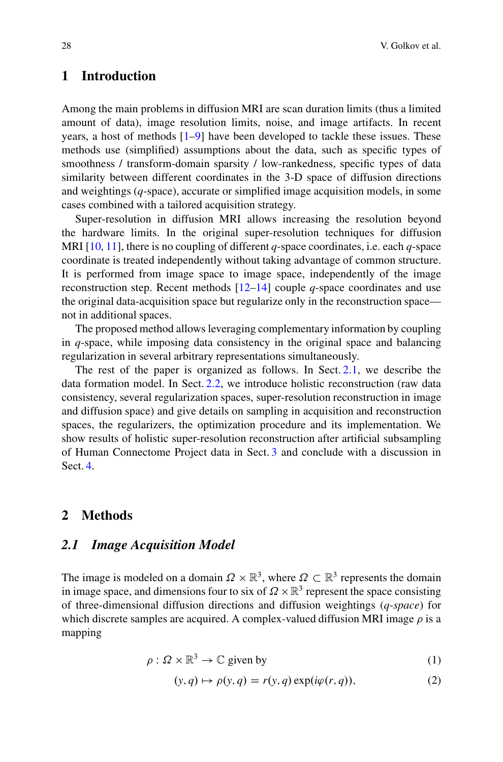## **1 Introduction**

Among the main problems in diffusion MRI are scan duration limits (thus a limited amount of data), image resolution limits, noise, and image artifacts. In recent years, a host of methods  $[1-9]$  $[1-9]$  have been developed to tackle these issues. These methods use (simplified) assumptions about the data, such as specific types of smoothness / transform-domain sparsity / low-rankedness, specific types of data similarity between different coordinates in the 3-D space of diffusion directions and weightings (*q*-space), accurate or simplified image acquisition models, in some cases combined with a tailored acquisition strategy.

Super-resolution in diffusion MRI allows increasing the resolution beyond the hardware limits. In the original super-resolution techniques for diffusion MRI [\[10,](#page-10-2) [11\]](#page-10-3), there is no coupling of different *q*-space coordinates, i.e. each *q*-space coordinate is treated independently without taking advantage of common structure. It is performed from image space to image space, independently of the image reconstruction step. Recent methods [\[12–](#page-11-0)[14\]](#page-11-1) couple *q*-space coordinates and use the original data-acquisition space but regularize only in the reconstruction space not in additional spaces.

The proposed method allows leveraging complementary information by coupling in *q*-space, while imposing data consistency in the original space and balancing regularization in several arbitrary representations simultaneously.

The rest of the paper is organized as follows. In Sect. [2.1,](#page-1-0) we describe the data formation model. In Sect. [2.2,](#page-2-0) we introduce holistic reconstruction (raw data consistency, several regularization spaces, super-resolution reconstruction in image and diffusion space) and give details on sampling in acquisition and reconstruction spaces, the regularizers, the optimization procedure and its implementation. We show results of holistic super-resolution reconstruction after artificial subsampling of Human Connectome Project data in Sect. [3](#page-8-0) and conclude with a discussion in Sect. [4.](#page-9-0)

### <span id="page-1-0"></span>**2 Methods**

#### *2.1 Image Acquisition Model*

The image is modeled on a domain  $\Omega \times \mathbb{R}^3$ , where  $\Omega \subset \mathbb{R}^3$  represents the domain<br>in image space, and dimensions four to six of  $\Omega \times \mathbb{R}^3$  represent the space consisting in image space, and dimensions four to six of  $\Omega \times \mathbb{R}^3$  represent the space consisting<br>of three-dimensional diffusion directions and diffusion weightings (a-space) for of three-dimensional diffusion directions and diffusion weightings (*q-space*) for which discrete samples are acquired. A complex-valued diffusion MRI image  $\rho$  is a mapping

$$
\rho: \Omega \times \mathbb{R}^3 \to \mathbb{C} \text{ given by } \tag{1}
$$

$$
(y, q) \mapsto \rho(y, q) = r(y, q) \exp(i\varphi(r, q)), \tag{2}
$$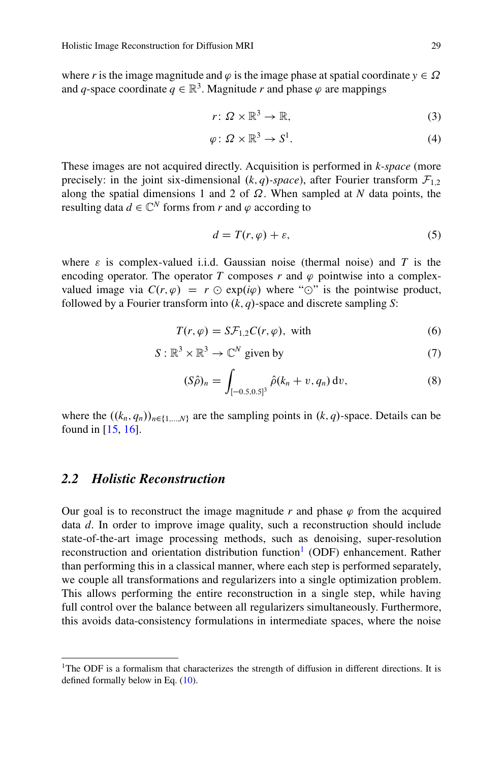where *r* is the image magnitude and  $\varphi$  is the image phase at spatial coordinate  $y \in \Omega$ and *q*-space coordinate  $q \in \mathbb{R}^3$ . Magnitude *r* and phase  $\varphi$  are mappings

$$
r: \Omega \times \mathbb{R}^3 \to \mathbb{R},\tag{3}
$$

$$
\varphi \colon \Omega \times \mathbb{R}^3 \to S^1. \tag{4}
$$

These images are not acquired directly. Acquisition is performed in *k-space* (more precisely: in the joint six-dimensional  $(k, q)$ -space), after Fourier transform  $\mathcal{F}_{1,2}$ along the spatial dimensions 1 and 2 of  $\Omega$ . When sampled at N data points, the resulting data  $d \in \mathbb{C}^N$  forms from *r* and  $\varphi$  according to

<span id="page-2-2"></span>
$$
d = T(r, \varphi) + \varepsilon,\tag{5}
$$

where  $\varepsilon$  is complex-valued i.i.d. Gaussian noise (thermal noise) and *T* is the encoding operator. The operator *T* composes *r* and  $\varphi$  pointwise into a complexvalued image via  $C(r, \varphi) = r \odot \exp(i\varphi)$  where " $\odot$ " is the pointwise product, followed by a Fourier transform into  $(k, q)$ -space and discrete sampling *S*:

$$
T(r,\varphi) = S\mathcal{F}_{1,2}C(r,\varphi), \text{ with } (6)
$$

$$
S: \mathbb{R}^3 \times \mathbb{R}^3 \to \mathbb{C}^N \text{ given by } \tag{7}
$$

$$
(\mathcal{S}\hat{\rho})_n = \int_{[-0.5, 0.5]^3} \hat{\rho}(k_n + v, q_n) \, \mathrm{d}v,\tag{8}
$$

where the  $((k_n, q_n))_{n \in \{1,\ldots,N\}}$  are the sampling points in  $(k, q)$ -space. Details can be found in [\[15,](#page-11-2) [16\]](#page-11-3).

## <span id="page-2-0"></span>*2.2 Holistic Reconstruction*

Our goal is to reconstruct the image magnitude  $r$  and phase  $\varphi$  from the acquired data *d*. In order to improve image quality, such a reconstruction should include state-of-the-art image processing methods, such as denoising, super-resolution reconstruction and orientation distribution function<sup>[1](#page-2-1)</sup> (ODF) enhancement. Rather than performing this in a classical manner, where each step is performed separately, we couple all transformations and regularizers into a single optimization problem. This allows performing the entire reconstruction in a single step, while having full control over the balance between all regularizers simultaneously. Furthermore, this avoids data-consistency formulations in intermediate spaces, where the noise

<span id="page-2-1"></span><sup>&</sup>lt;sup>1</sup>The ODF is a formalism that characterizes the strength of diffusion in different directions. It is defined formally below in Eq. [\(10\)](#page-4-0).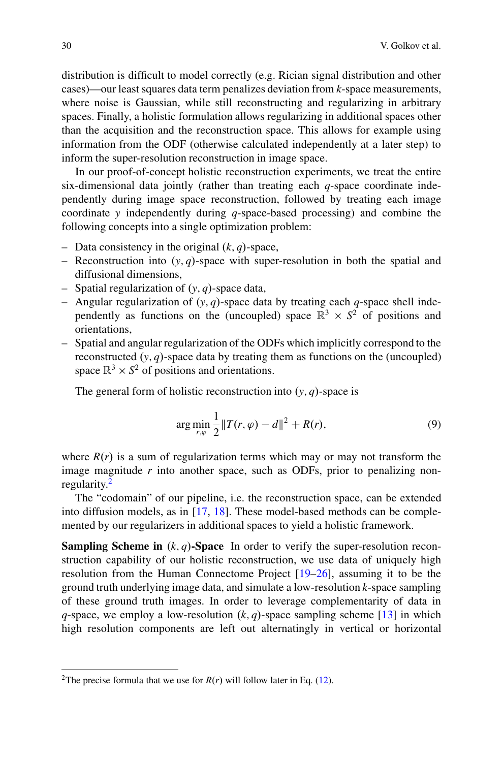distribution is difficult to model correctly (e.g. Rician signal distribution and other cases)—our least squares data term penalizes deviation from *k*-space measurements, where noise is Gaussian, while still reconstructing and regularizing in arbitrary spaces. Finally, a holistic formulation allows regularizing in additional spaces other than the acquisition and the reconstruction space. This allows for example using information from the ODF (otherwise calculated independently at a later step) to inform the super-resolution reconstruction in image space.

In our proof-of-concept holistic reconstruction experiments, we treat the entire six-dimensional data jointly (rather than treating each *q*-space coordinate independently during image space reconstruction, followed by treating each image coordinate *y* independently during *q*-space-based processing) and combine the following concepts into a single optimization problem:

- Data consistency in the original  $(k, q)$ -space,
- Reconstruction into  $(y, q)$ -space with super-resolution in both the spatial and diffusional dimensions,
- Spatial regularization of  $(y, q)$ -space data,
- Angular regularization of  $(y, q)$ -space data by treating each *q*-space shell independently as functions on the (uncoupled) space  $\mathbb{R}^3 \times S^2$  of positions and orientations orientations,
- Spatial and angular regularization of the ODFs which implicitly correspond to the reconstructed  $(y, q)$ -space data by treating them as functions on the (uncoupled) space  $\mathbb{R}^3 \times S^2$  of positions and orientations.

The general form of holistic reconstruction into  $(y, q)$ -space is

<span id="page-3-1"></span>
$$
\arg\min_{r,\varphi} \frac{1}{2} \|T(r,\varphi) - d\|^2 + R(r),\tag{9}
$$

where  $R(r)$  is a sum of regularization terms which may or may not transform the image magnitude  $r$  into another space, such as ODFs, prior to penalizing nonregularity.[2](#page-3-0)

The "codomain" of our pipeline, i.e. the reconstruction space, can be extended into diffusion models, as in [\[17,](#page-11-4) [18\]](#page-11-5). These model-based methods can be complemented by our regularizers in additional spaces to yield a holistic framework.

**Sampling Scheme in**  $(k, q)$ -Space In order to verify the super-resolution reconstruction capability of our holistic reconstruction, we use data of uniquely high resolution from the Human Connectome Project [\[19–](#page-11-6)[26\]](#page-11-7), assuming it to be the ground truth underlying image data, and simulate a low-resolution *k*-space sampling of these ground truth images. In order to leverage complementarity of data in *q*-space, we employ a low-resolution  $(k, q)$ -space sampling scheme [\[13\]](#page-11-8) in which high resolution components are left out alternatingly in vertical or horizontal

<span id="page-3-0"></span><sup>&</sup>lt;sup>2</sup>The precise formula that we use for  $R(r)$  will follow later in Eq. [\(12\)](#page-5-0).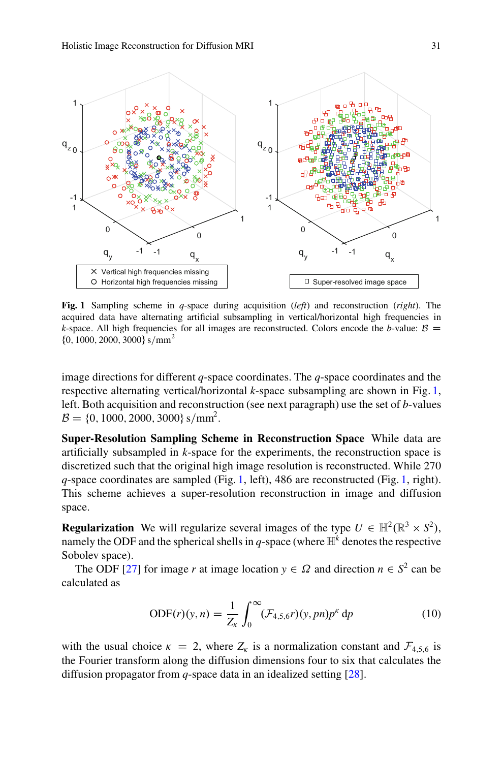

<span id="page-4-1"></span>**Fig. 1** Sampling scheme in *q*-space during acquisition (*left*) and reconstruction (*right*). The acquired data have alternating artificial subsampling in vertical/horizontal high frequencies in *k*-space. All high frequencies for all images are reconstructed. Colors encode the *b*-value:  $B =$  ${0, 1000, 2000, 3000}$  s/mm<sup>2</sup>

image directions for different *q*-space coordinates. The *q*-space coordinates and the respective alternating vertical/horizontal *k*-space subsampling are shown in Fig. [1,](#page-4-1) left. Both acquisition and reconstruction (see next paragraph) use the set of *b*-values  $B = \{0, 1000, 2000, 3000\} \text{ s/mm}^2.$ 

**Super-Resolution Sampling Scheme in Reconstruction Space** While data are artificially subsampled in *k*-space for the experiments, the reconstruction space is discretized such that the original high image resolution is reconstructed. While 270 *q*-space coordinates are sampled (Fig. [1,](#page-4-1) left), 486 are reconstructed (Fig. [1,](#page-4-1) right). This scheme achieves a super-resolution reconstruction in image and diffusion space.

**Regularization** We will regularize several images of the type  $U \in \mathbb{H}^2(\mathbb{R}^3 \times S^2)$ , namely the ODE and the spherical shells in *a*-space (where  $\mathbb{H}^k$  denotes the respective namely the ODF and the spherical shells in  $q$ -space (where  $\mathbb{H}^k$  denotes the respective Sobolev space).

The ODF [\[27\]](#page-11-9) for image *r* at image location  $y \in \Omega$  and direction  $n \in S^2$  can be calculated as

<span id="page-4-0"></span>
$$
\text{ODF}(r)(y,n) = \frac{1}{Z_{\kappa}} \int_0^\infty (\mathcal{F}_{4,5,6}r)(y, pn)p^{\kappa} dp \tag{10}
$$

with the usual choice  $\kappa = 2$ , where  $Z_{\kappa}$  is a normalization constant and  $\mathcal{F}_{4,5,6}$  is the Fourier transform along the diffusion dimensions four to six that calculates the diffusion propagator from *q*-space data in an idealized setting [\[28\]](#page-11-10).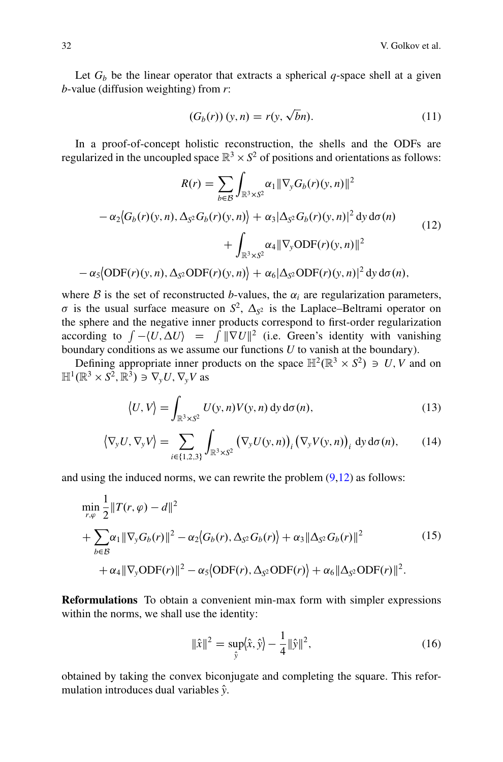Let  $G_b$  be the linear operator that extracts a spherical *q*-space shell at a given *b*-value (diffusion weighting) from *r*:

<span id="page-5-3"></span>
$$
(Gb(r)) (y, n) = r(y, \sqrt{bn}). \qquad (11)
$$

In a proof-of-concept holistic reconstruction, the shells and the ODFs are regularized in the uncoupled space  $\mathbb{R}^3 \times S^2$  of positions and orientations as follows:

<span id="page-5-0"></span>
$$
R(r) = \sum_{b \in \mathcal{B}} \int_{\mathbb{R}^3 \times S^2} \alpha_1 \|\nabla_y G_b(r)(y, n)\|^2
$$

$$
- \alpha_2 \langle G_b(r)(y, n), \Delta_{S^2} G_b(r)(y, n) \rangle + \alpha_3 |\Delta_{S^2} G_b(r)(y, n)|^2 \, dy \, d\sigma(n)
$$

$$
+ \int_{\mathbb{R}^3 \times S^2} \alpha_4 \|\nabla_y \text{ODF}(r)(y, n)\|^2
$$

$$
- \alpha_5 \langle \text{ODF}(r)(y, n), \Delta_{S^2} \text{ODF}(r)(y, n) \rangle + \alpha_6 |\Delta_{S^2} \text{ODF}(r)(y, n)|^2 \, dy \, d\sigma(n), \tag{12}
$$

where  $\beta$  is the set of reconstructed *b*-values, the  $\alpha_i$  are regularization parameters,  $\sigma$  is the usual surface measure on  $S^2$ ,  $\Delta_{\mathcal{S}^2}$  is the Laplace–Beltrami operator on the sphere and the negative inner products correspond to first-order regularization according to  $\int -\langle U, \Delta U \rangle = \int ||\nabla U||^2$  (i.e. Green's identity with vanishing boundary conditions as we assume our functions *U* to vanish at the boundary).

Defining appropriate inner products on the space  $\mathbb{H}^2(\mathbb{R}^3 \times S^2) \ni U, V$  and on  $(\mathbb{R}^3 \times S^2, \mathbb{R}^3) \ni \nabla U \nabla V$  as  $\mathbb{H}^1(\mathbb{R}^3 \times S^2, \mathbb{R}^3) \ni \nabla_y U, \nabla_y V$  as

$$
\langle U, V \rangle = \int_{\mathbb{R}^3 \times S^2} U(y, n) V(y, n) \, dy \, d\sigma(n), \tag{13}
$$

$$
\left\langle \nabla_{\mathbf{y}} U, \nabla_{\mathbf{y}} V \right\rangle = \sum_{i \in \{1, 2, 3\}} \int_{\mathbb{R}^3 \times S^2} \left( \nabla_{\mathbf{y}} U(\mathbf{y}, n) \right)_i \left( \nabla_{\mathbf{y}} V(\mathbf{y}, n) \right)_i \, \mathrm{d}\mathbf{y} \, \mathrm{d}\sigma(n), \tag{14}
$$

and using the induced norms, we can rewrite the problem  $(9,12)$  $(9,12)$  as follows:

$$
\min_{r,\varphi} \frac{1}{2} \|T(r,\varphi) - d\|^2 + \sum_{b \in \mathcal{B}} \alpha_1 \|\nabla_y G_b(r)\|^2 - \alpha_2 \langle G_b(r), \Delta_{S^2} G_b(r) \rangle + \alpha_3 \|\Delta_{S^2} G_b(r)\|^2 + \alpha_4 \|\nabla_y \text{ODF}(r)\|^2 - \alpha_5 \langle \text{ODF}(r), \Delta_{S^2} \text{ODF}(r) \rangle + \alpha_6 \|\Delta_{S^2} \text{ODF}(r)\|^2.
$$
\n(15)

**Reformulations** To obtain a convenient min-max form with simpler expressions within the norms, we shall use the identity:

<span id="page-5-2"></span><span id="page-5-1"></span>
$$
\|\hat{x}\|^2 = \sup_{\hat{y}} \langle \hat{x}, \hat{y} \rangle - \frac{1}{4} \|\hat{y}\|^2,
$$
 (16)

obtained by taking the convex biconjugate and completing the square. This reformulation introduces dual variables  $\hat{y}$ .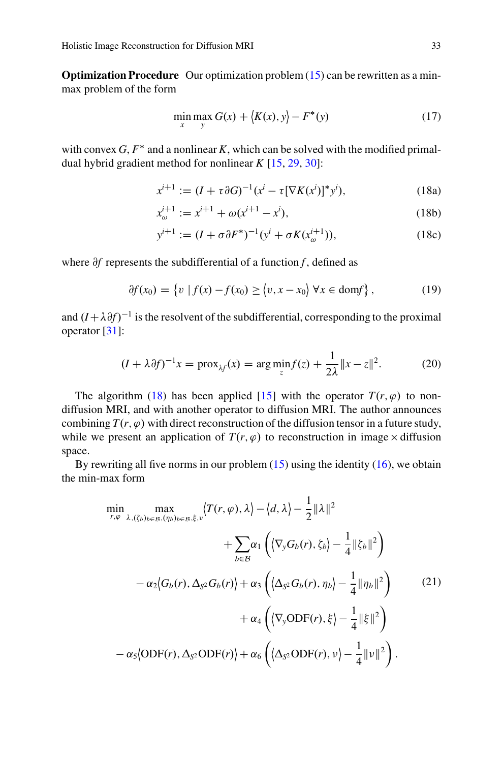**Optimization Procedure** Our optimization problem [\(15\)](#page-5-1) can be rewritten as a minmax problem of the form

<span id="page-6-1"></span><span id="page-6-0"></span>
$$
\min_{x} \max_{y} G(x) + \langle K(x), y \rangle - F^*(y) \tag{17}
$$

with convex  $G, F^*$  and a nonlinear  $K$ , which can be solved with the modified primaldual hybrid gradient method for nonlinear *K* [\[15,](#page-11-2) [29,](#page-11-11) [30\]](#page-12-0):

$$
x^{i+1} := (I + \tau \partial G)^{-1} (x^i - \tau [\nabla K(x^i)]^* y^i),
$$
 (18a)

$$
x_{\omega}^{i+1} := x^{i+1} + \omega(x^{i+1} - x^i),\tag{18b}
$$

$$
y^{i+1} := (I + \sigma \partial F^*)^{-1} (y^i + \sigma K(x_{\omega}^{i+1})),
$$
\n(18c)

where  $\partial f$  represents the subdifferential of a function  $f$ , defined as

$$
\partial f(x_0) = \left\{ v \mid f(x) - f(x_0) \ge \left\langle v, x - x_0 \right\rangle \forall x \in \text{dom} f \right\},\tag{19}
$$

and  $(I + \lambda \partial f)^{-1}$  is the resolvent of the subdifferential, corresponding to the proximal operator [31]. operator [\[31\]](#page-12-1):

$$
(I + \lambda \partial f)^{-1}x = \text{prox}_{\lambda f}(x) = \arg \min_{z} f(z) + \frac{1}{2\lambda} ||x - z||^2.
$$
 (20)

The algorithm [\(18\)](#page-6-0) has been applied [\[15\]](#page-11-2) with the operator  $T(r, \varphi)$  to nondiffusion MRI, and with another operator to diffusion MRI. The author announces combining  $T(r, \varphi)$  with direct reconstruction of the diffusion tensor in a future study, while we present an application of  $T(r, \varphi)$  to reconstruction in image  $\times$  diffusion space. space.

By rewriting all five norms in our problem  $(15)$  using the identity  $(16)$ , we obtain the min-max form

$$
\min_{r,\varphi} \max_{\lambda,(\zeta_b)_{b\in\mathcal{B}},(\eta_b)_{b\in\mathcal{B}},\xi,v} \langle T(r,\varphi),\lambda\rangle - \langle d,\lambda\rangle - \frac{1}{2} ||\lambda||^2 \n+ \sum_{b\in\mathcal{B}} \alpha_1 \left( \langle \nabla_y G_b(r), \zeta_b \rangle - \frac{1}{4} ||\zeta_b||^2 \right) \n- \alpha_2 \langle G_b(r), \Delta_{S^2} G_b(r) \rangle + \alpha_3 \left( \langle \Delta_{S^2} G_b(r), \eta_b \rangle - \frac{1}{4} ||\eta_b||^2 \right) \n+ \alpha_4 \left( \langle \nabla_y \text{ODF}(r), \xi \rangle - \frac{1}{4} ||\xi||^2 \right) \n- \alpha_5 \langle \text{ODF}(r), \Delta_{S^2} \text{ODF}(r) \rangle + \alpha_6 \left( \langle \Delta_{S^2} \text{ODF}(r), v \rangle - \frac{1}{4} ||v||^2 \right).
$$
\n(21)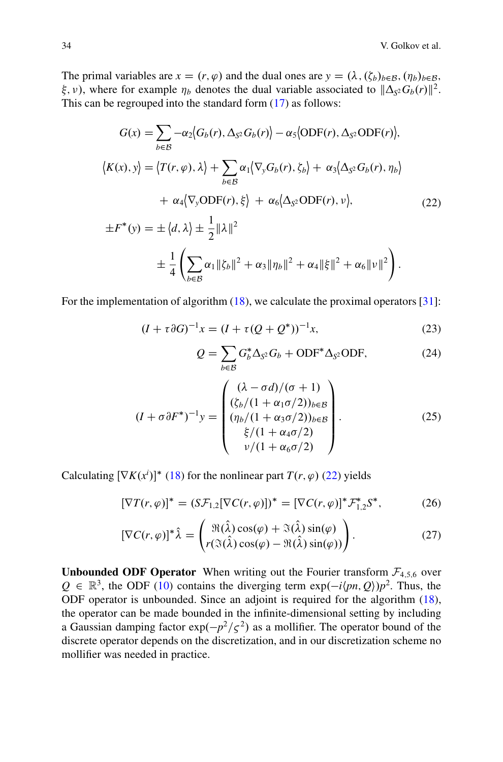The primal variables are  $x = (r, \varphi)$  and the dual ones are  $y = (\lambda, (\zeta_b)_{b \in \mathcal{B}}, (\eta_b)_{b \in \mathcal{B}})$  $\xi, \nu$ ), where for example  $\eta_b$  denotes the dual variable associated to  $\|\Delta_{S^2}G_b(r)\|^2$ .<br>This can be regrouped into the standard form (17) as follows: This can be regrouped into the standard form [\(17\)](#page-6-1) as follows:

<span id="page-7-0"></span>
$$
G(x) = \sum_{b \in B} -\alpha_2 \langle G_b(r), \Delta_{S^2} G_b(r) \rangle - \alpha_5 \langle \text{ODF}(r), \Delta_{S^2} \text{ODF}(r) \rangle,
$$
  
\n
$$
\langle K(x), y \rangle = \langle T(r, \varphi), \lambda \rangle + \sum_{b \in B} \alpha_1 \langle \nabla_y G_b(r), \zeta_b \rangle + \alpha_3 \langle \Delta_{S^2} G_b(r), \eta_b \rangle
$$
  
\n
$$
+ \alpha_4 \langle \nabla_y \text{ODF}(r), \xi \rangle + \alpha_6 \langle \Delta_{S^2} \text{ODF}(r), \nu \rangle,
$$
  
\n
$$
\pm F^*(y) = \pm \langle d, \lambda \rangle \pm \frac{1}{2} ||\lambda||^2
$$
  
\n
$$
\pm \frac{1}{4} \left( \sum_{b \in B} \alpha_1 ||\zeta_b||^2 + \alpha_3 ||\eta_b||^2 + \alpha_4 ||\xi||^2 + \alpha_6 ||\nu||^2 \right).
$$
 (22)

For the implementation of algorithm [\(18\)](#page-6-0), we calculate the proximal operators [\[31\]](#page-12-1):

$$
(I + \tau \partial G)^{-1}x = (I + \tau (Q + Q^*))^{-1}x,
$$
\n(23)

$$
Q = \sum_{b \in \mathcal{B}} G_b^* \Delta_{S^2} G_b + \text{ODF}^* \Delta_{S^2} \text{ODF},\tag{24}
$$

$$
(I + \sigma \partial F^*)^{-1} y = \begin{pmatrix} (\lambda - \sigma d)/(\sigma + 1) \\ (\zeta_b/(1 + \alpha_1 \sigma/2))_{b \in \mathcal{B}} \\ (\eta_b/(1 + \alpha_3 \sigma/2))_{b \in \mathcal{B}} \\ \zeta/(1 + \alpha_4 \sigma/2) \\ \nu/(1 + \alpha_6 \sigma/2) \end{pmatrix} .
$$
 (25)

Calculating  $[\nabla K(x^i)]^*$  [\(18\)](#page-6-0) for the nonlinear part *T*(*r*,  $\varphi$ ) [\(22\)](#page-7-0) yields

$$
[\nabla T(r,\varphi)]^* = (S\mathcal{F}_{1,2}[\nabla C(r,\varphi)])^* = [\nabla C(r,\varphi)]^* \mathcal{F}_{1,2}^* S^*,\tag{26}
$$

$$
[\nabla C(r,\varphi)]^* \hat{\lambda} = \begin{pmatrix} \Re(\hat{\lambda})\cos(\varphi) + \Im(\hat{\lambda})\sin(\varphi) \\ r(\Im(\hat{\lambda})\cos(\varphi) - \Re(\hat{\lambda})\sin(\varphi)) \end{pmatrix}.
$$
 (27)

**Unbounded ODF Operator** When writing out the Fourier transform  $\mathcal{F}_{4,5,6}$  over  $Q \in \mathbb{R}^3$ , the ODF [\(10\)](#page-4-0) contains the diverging term  $exp(-i\langle pn, Q \rangle)p^2$ . Thus, the ODF operator is unbounded. Since an adjoint is required for the algorithm [\(18\)](#page-6-0), the operator can be made bounded in the infinite-dimensional setting by including a Gaussian damping factor  $\exp(-p^2/\zeta^2)$  as a mollifier. The operator bound of the discrete operator depends on the discretization, and in our discretization scheme no mollifier was needed in practice.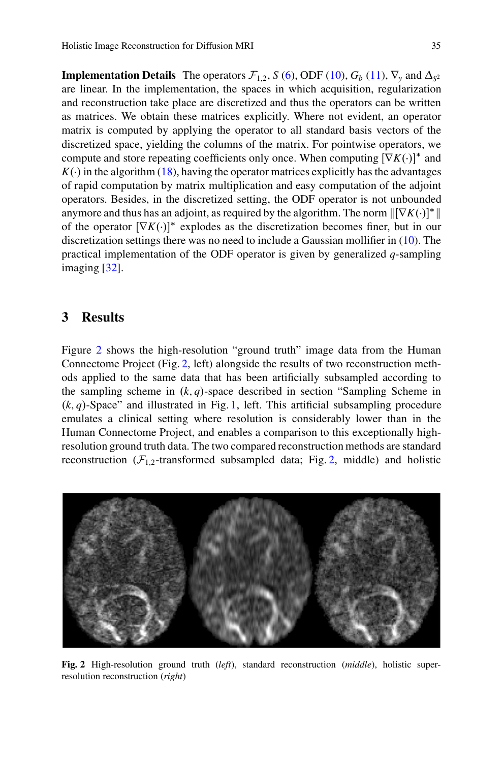**Implementation Details** The operators  $\mathcal{F}_{1,2}$ , *S* [\(6\)](#page-2-2), ODF [\(10\)](#page-4-0),  $G_b$  [\(11\)](#page-5-3),  $\nabla$ <sub>*y*</sub> and  $\Delta$ <sub>S<sup>2</sup></sub> are linear. In the implementation, the spaces in which acquisition, regularization and reconstruction take place are discretized and thus the operators can be written as matrices. We obtain these matrices explicitly. Where not evident, an operator matrix is computed by applying the operator to all standard basis vectors of the discretized space, yielding the columns of the matrix. For pointwise operators, we compute and store repeating coefficients only once. When computing  $[\nabla K(\cdot)]^*$  and  $K(.)$  in the algorithm [\(18\)](#page-6-0), having the operator matrices explicitly has the advantages of rapid computation by matrix multiplication and easy computation of the adjoint operators. Besides, in the discretized setting, the ODF operator is not unbounded anymore and thus has an adjoint, as required by the algorithm. The norm  $\|\nabla K(\cdot)\|^*\|$ of the operator  $[\nabla K(\cdot)]^*$  explodes as the discretization becomes finer, but in our discretization settings there was no need to include a Gaussian mollifier in [\(10\)](#page-4-0). The practical implementation of the ODF operator is given by generalized *q*-sampling imaging [\[32\]](#page-12-2).

#### <span id="page-8-0"></span>**3 Results**

Figure [2](#page-8-1) shows the high-resolution "ground truth" image data from the Human Connectome Project (Fig. [2,](#page-8-1) left) alongside the results of two reconstruction methods applied to the same data that has been artificially subsampled according to the sampling scheme in  $(k, q)$ -space described in section "Sampling Scheme in  $(k, q)$ -Space" and illustrated in Fig. [1,](#page-4-1) left. This artificial subsampling procedure emulates a clinical setting where resolution is considerably lower than in the Human Connectome Project, and enables a comparison to this exceptionally highresolution ground truth data. The two compared reconstruction methods are standard reconstruction  $(\mathcal{F}_{1,2}$ -transformed subsampled data; Fig. [2,](#page-8-1) middle) and holistic

<span id="page-8-1"></span>

**Fig. 2** High-resolution ground truth (*left*), standard reconstruction (*middle*), holistic superresolution reconstruction (*right*)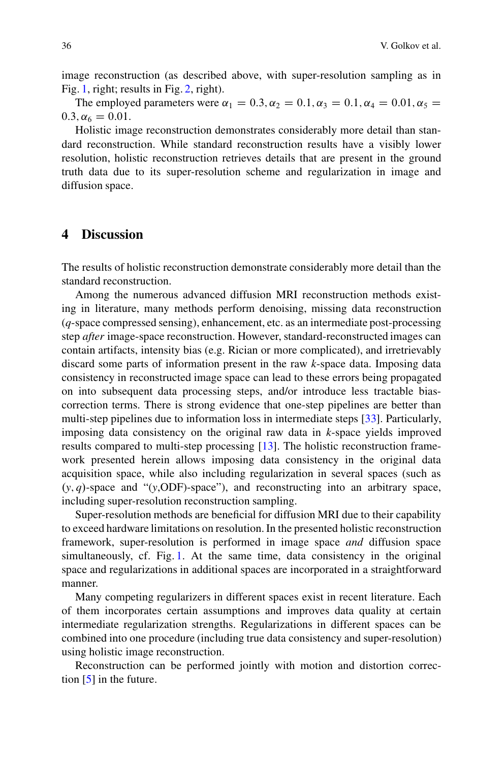image reconstruction (as described above, with super-resolution sampling as in Fig. [1,](#page-4-1) right; results in Fig. [2,](#page-8-1) right).

The employed parameters were  $\alpha_1 = 0.3$ ,  $\alpha_2 = 0.1$ ,  $\alpha_3 = 0.1$ ,  $\alpha_4 = 0.01$ ,  $\alpha_5 = 0.01$  $0.3, \alpha_6 = 0.01.$ 

Holistic image reconstruction demonstrates considerably more detail than standard reconstruction. While standard reconstruction results have a visibly lower resolution, holistic reconstruction retrieves details that are present in the ground truth data due to its super-resolution scheme and regularization in image and diffusion space.

#### <span id="page-9-0"></span>**4 Discussion**

The results of holistic reconstruction demonstrate considerably more detail than the standard reconstruction.

Among the numerous advanced diffusion MRI reconstruction methods existing in literature, many methods perform denoising, missing data reconstruction (*q*-space compressed sensing), enhancement, etc. as an intermediate post-processing step *after* image-space reconstruction. However, standard-reconstructed images can contain artifacts, intensity bias (e.g. Rician or more complicated), and irretrievably discard some parts of information present in the raw *k*-space data. Imposing data consistency in reconstructed image space can lead to these errors being propagated on into subsequent data processing steps, and/or introduce less tractable biascorrection terms. There is strong evidence that one-step pipelines are better than multi-step pipelines due to information loss in intermediate steps [\[33\]](#page-12-3). Particularly, imposing data consistency on the original raw data in *k*-space yields improved results compared to multi-step processing [\[13\]](#page-11-8). The holistic reconstruction framework presented herein allows imposing data consistency in the original data acquisition space, while also including regularization in several spaces (such as  $(y, q)$ -space and " $(y, ODF)$ -space"), and reconstructing into an arbitrary space, including super-resolution reconstruction sampling.

Super-resolution methods are beneficial for diffusion MRI due to their capability to exceed hardware limitations on resolution.In the presented holistic reconstruction framework, super-resolution is performed in image space *and* diffusion space simultaneously, cf. Fig. [1.](#page-4-1) At the same time, data consistency in the original space and regularizations in additional spaces are incorporated in a straightforward manner.

Many competing regularizers in different spaces exist in recent literature. Each of them incorporates certain assumptions and improves data quality at certain intermediate regularization strengths. Regularizations in different spaces can be combined into one procedure (including true data consistency and super-resolution) using holistic image reconstruction.

Reconstruction can be performed jointly with motion and distortion correction [\[5\]](#page-10-4) in the future.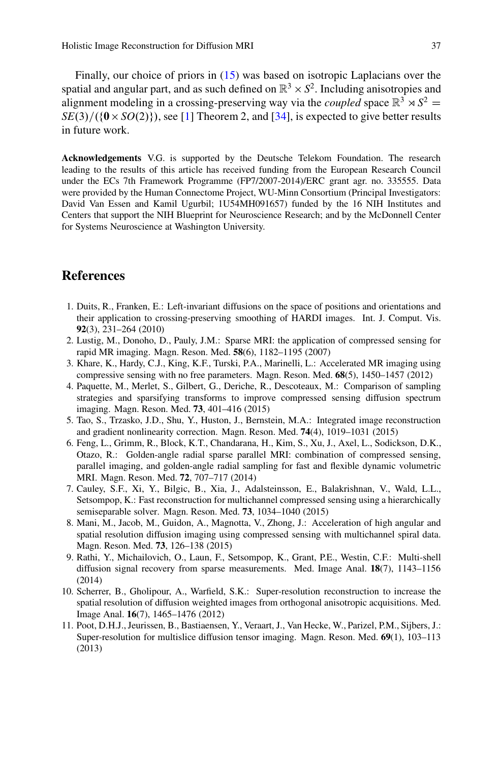Finally, our choice of priors in [\(15\)](#page-5-1) was based on isotropic Laplacians over the spatial and angular part, and as such defined on  $\mathbb{R}^3 \times S^2$ . Including anisotropies and<br>alignment modeling in a crossing-preserving way via the *coupled* space  $\mathbb{R}^3 \rtimes S^2$ . alignment modeling in a crossing-preserving way via the *coupled* space  $\mathbb{R}^3 \rtimes S^2 =$  $SE(3)/({0 \times SO(2)})$ , see [\[1\]](#page-10-0) Theorem 2, and [\[34\]](#page-12-4), is expected to give better results in future work in future work.

**Acknowledgements** V.G. is supported by the Deutsche Telekom Foundation. The research leading to the results of this article has received funding from the European Research Council under the ECs 7th Framework Programme (FP7/2007-2014)/ERC grant agr. no. 335555. Data were provided by the Human Connectome Project, WU-Minn Consortium (Principal Investigators: David Van Essen and Kamil Ugurbil; 1U54MH091657) funded by the 16 NIH Institutes and Centers that support the NIH Blueprint for Neuroscience Research; and by the McDonnell Center for Systems Neuroscience at Washington University.

## **References**

- <span id="page-10-0"></span>1. Duits, R., Franken, E.: Left-invariant diffusions on the space of positions and orientations and their application to crossing-preserving smoothing of HARDI images. Int. J. Comput. Vis. **92**(3), 231–264 (2010)
- 2. Lustig, M., Donoho, D., Pauly, J.M.: Sparse MRI: the application of compressed sensing for rapid MR imaging. Magn. Reson. Med. **58**(6), 1182–1195 (2007)
- 3. Khare, K., Hardy, C.J., King, K.F., Turski, P.A., Marinelli, L.: Accelerated MR imaging using compressive sensing with no free parameters. Magn. Reson. Med. **68**(5), 1450–1457 (2012)
- 4. Paquette, M., Merlet, S., Gilbert, G., Deriche, R., Descoteaux, M.: Comparison of sampling strategies and sparsifying transforms to improve compressed sensing diffusion spectrum imaging. Magn. Reson. Med. **73**, 401–416 (2015)
- <span id="page-10-4"></span>5. Tao, S., Trzasko, J.D., Shu, Y., Huston, J., Bernstein, M.A.: Integrated image reconstruction and gradient nonlinearity correction. Magn. Reson. Med. **74**(4), 1019–1031 (2015)
- 6. Feng, L., Grimm, R., Block, K.T., Chandarana, H., Kim, S., Xu, J., Axel, L., Sodickson, D.K., Otazo, R.: Golden-angle radial sparse parallel MRI: combination of compressed sensing, parallel imaging, and golden-angle radial sampling for fast and flexible dynamic volumetric MRI. Magn. Reson. Med. **72**, 707–717 (2014)
- 7. Cauley, S.F., Xi, Y., Bilgic, B., Xia, J., Adalsteinsson, E., Balakrishnan, V., Wald, L.L., Setsompop, K.: Fast reconstruction for multichannel compressed sensing using a hierarchically semiseparable solver. Magn. Reson. Med. **73**, 1034–1040 (2015)
- 8. Mani, M., Jacob, M., Guidon, A., Magnotta, V., Zhong, J.: Acceleration of high angular and spatial resolution diffusion imaging using compressed sensing with multichannel spiral data. Magn. Reson. Med. **73**, 126–138 (2015)
- <span id="page-10-1"></span>9. Rathi, Y., Michailovich, O., Laun, F., Setsompop, K., Grant, P.E., Westin, C.F.: Multi-shell diffusion signal recovery from sparse measurements. Med. Image Anal. **18**(7), 1143–1156 (2014)
- <span id="page-10-2"></span>10. Scherrer, B., Gholipour, A., Warfield, S.K.: Super-resolution reconstruction to increase the spatial resolution of diffusion weighted images from orthogonal anisotropic acquisitions. Med. Image Anal. **16**(7), 1465–1476 (2012)
- <span id="page-10-3"></span>11. Poot, D.H.J., Jeurissen, B., Bastiaensen, Y., Veraart, J., Van Hecke, W., Parizel, P.M., Sijbers, J.: Super-resolution for multislice diffusion tensor imaging. Magn. Reson. Med. **69**(1), 103–113 (2013)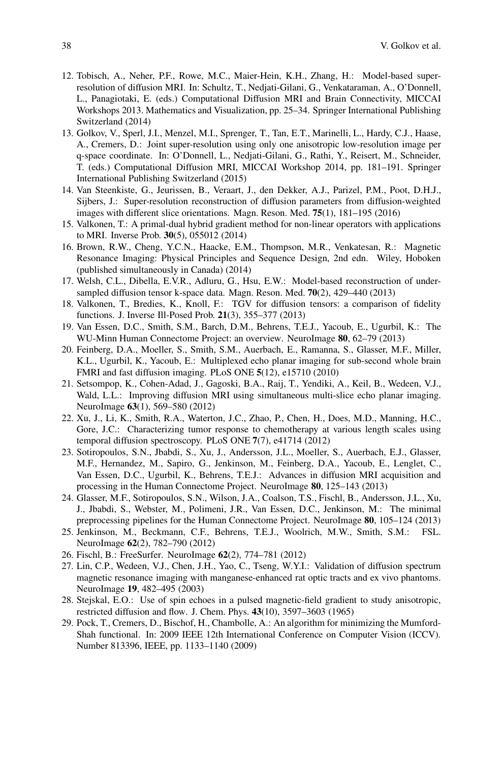- <span id="page-11-0"></span>12. Tobisch, A., Neher, P.F., Rowe, M.C., Maier-Hein, K.H., Zhang, H.: Model-based superresolution of diffusion MRI. In: Schultz, T., Nedjati-Gilani, G., Venkataraman, A., O'Donnell, L., Panagiotaki, E. (eds.) Computational Diffusion MRI and Brain Connectivity, MICCAI Workshops 2013. Mathematics and Visualization, pp. 25–34. Springer International Publishing Switzerland (2014)
- <span id="page-11-8"></span>13. Golkov, V., Sperl, J.I., Menzel, M.I., Sprenger, T., Tan, E.T., Marinelli, L., Hardy, C.J., Haase, A., Cremers, D.: Joint super-resolution using only one anisotropic low-resolution image per q-space coordinate. In: O'Donnell, L., Nedjati-Gilani, G., Rathi, Y., Reisert, M., Schneider, T. (eds.) Computational Diffusion MRI, MICCAI Workshop 2014, pp. 181–191. Springer International Publishing Switzerland (2015)
- <span id="page-11-1"></span>14. Van Steenkiste, G., Jeurissen, B., Veraart, J., den Dekker, A.J., Parizel, P.M., Poot, D.H.J., Sijbers, J.: Super-resolution reconstruction of diffusion parameters from diffusion-weighted images with different slice orientations. Magn. Reson. Med. **75**(1), 181–195 (2016)
- <span id="page-11-2"></span>15. Valkonen, T.: A primal-dual hybrid gradient method for non-linear operators with applications to MRI. Inverse Prob. **30**(5), 055012 (2014)
- <span id="page-11-3"></span>16. Brown, R.W., Cheng, Y.C.N., Haacke, E.M., Thompson, M.R., Venkatesan, R.: Magnetic Resonance Imaging: Physical Principles and Sequence Design, 2nd edn. Wiley, Hoboken (published simultaneously in Canada) (2014)
- <span id="page-11-4"></span>17. Welsh, C.L., Dibella, E.V.R., Adluru, G., Hsu, E.W.: Model-based reconstruction of undersampled diffusion tensor k-space data. Magn. Reson. Med. **70**(2), 429–440 (2013)
- <span id="page-11-5"></span>18. Valkonen, T., Bredies, K., Knoll, F.: TGV for diffusion tensors: a comparison of fidelity functions. J. Inverse Ill-Posed Prob. **21**(3), 355–377 (2013)
- <span id="page-11-6"></span>19. Van Essen, D.C., Smith, S.M., Barch, D.M., Behrens, T.E.J., Yacoub, E., Ugurbil, K.: The WU-Minn Human Connectome Project: an overview. NeuroImage **80**, 62–79 (2013)
- 20. Feinberg, D.A., Moeller, S., Smith, S.M., Auerbach, E., Ramanna, S., Glasser, M.F., Miller, K.L., Ugurbil, K., Yacoub, E.: Multiplexed echo planar imaging for sub-second whole brain FMRI and fast diffusion imaging. PLoS ONE **5**(12), e15710 (2010)
- 21. Setsompop, K., Cohen-Adad, J., Gagoski, B.A., Raij, T., Yendiki, A., Keil, B., Wedeen, V.J., Wald, L.L.: Improving diffusion MRI using simultaneous multi-slice echo planar imaging. NeuroImage **63**(1), 569–580 (2012)
- 22. Xu, J., Li, K., Smith, R.A., Waterton, J.C., Zhao, P., Chen, H., Does, M.D., Manning, H.C., Gore, J.C.: Characterizing tumor response to chemotherapy at various length scales using temporal diffusion spectroscopy. PLoS ONE **7**(7), e41714 (2012)
- 23. Sotiropoulos, S.N., Jbabdi, S., Xu, J., Andersson, J.L., Moeller, S., Auerbach, E.J., Glasser, M.F., Hernandez, M., Sapiro, G., Jenkinson, M., Feinberg, D.A., Yacoub, E., Lenglet, C., Van Essen, D.C., Ugurbil, K., Behrens, T.E.J.: Advances in diffusion MRI acquisition and processing in the Human Connectome Project. NeuroImage **80**, 125–143 (2013)
- 24. Glasser, M.F., Sotiropoulos, S.N., Wilson, J.A., Coalson, T.S., Fischl, B., Andersson, J.L., Xu, J., Jbabdi, S., Webster, M., Polimeni, J.R., Van Essen, D.C., Jenkinson, M.: The minimal preprocessing pipelines for the Human Connectome Project. NeuroImage **80**, 105–124 (2013)
- 25. Jenkinson, M., Beckmann, C.F., Behrens, T.E.J., Woolrich, M.W., Smith, S.M.: FSL. NeuroImage **62**(2), 782–790 (2012)
- <span id="page-11-7"></span>26. Fischl, B.: FreeSurfer. NeuroImage **62**(2), 774–781 (2012)
- <span id="page-11-9"></span>27. Lin, C.P., Wedeen, V.J., Chen, J.H., Yao, C., Tseng, W.Y.I.: Validation of diffusion spectrum magnetic resonance imaging with manganese-enhanced rat optic tracts and ex vivo phantoms. NeuroImage **19**, 482–495 (2003)
- <span id="page-11-10"></span>28. Stejskal, E.O.: Use of spin echoes in a pulsed magnetic-field gradient to study anisotropic, restricted diffusion and flow. J. Chem. Phys. **43**(10), 3597–3603 (1965)
- <span id="page-11-11"></span>29. Pock, T., Cremers, D., Bischof, H., Chambolle, A.: An algorithm for minimizing the Mumford-Shah functional. In: 2009 IEEE 12th International Conference on Computer Vision (ICCV). Number 813396, IEEE, pp. 1133–1140 (2009)